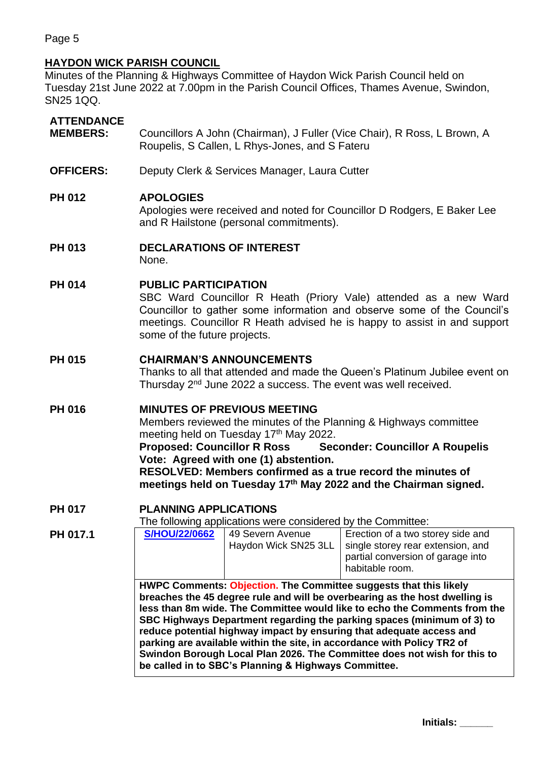Page 5

## **HAYDON WICK PARISH COUNCIL**

Minutes of the Planning & Highways Committee of Haydon Wick Parish Council held on Tuesday 21st June 2022 at 7.00pm in the Parish Council Offices, Thames Avenue, Swindon, SN25 1QQ.

## **ATTENDANCE**

- **MEMBERS:** Councillors A John (Chairman), J Fuller (Vice Chair), R Ross, L Brown, A Roupelis, S Callen, L Rhys-Jones, and S Fateru
- **OFFICERS:** Deputy Clerk & Services Manager, Laura Cutter

### **PH 012 APOLOGIES**

Apologies were received and noted for Councillor D Rodgers, E Baker Lee and R Hailstone (personal commitments).

# **PH 013 DECLARATIONS OF INTEREST**

None.

#### **PH 014 PUBLIC PARTICIPATION**

SBC Ward Councillor R Heath (Priory Vale) attended as a new Ward Councillor to gather some information and observe some of the Council's meetings. Councillor R Heath advised he is happy to assist in and support some of the future projects.

#### **PH 015 CHAIRMAN'S ANNOUNCEMENTS**

Thanks to all that attended and made the Queen's Platinum Jubilee event on Thursday 2nd June 2022 a success. The event was well received.

### **PH 016 MINUTES OF PREVIOUS MEETING**

Members reviewed the minutes of the Planning & Highways committee meeting held on Tuesday 17<sup>th</sup> May 2022.

**Proposed: Councillor R Ross Seconder: Councillor A Roupelis Vote: Agreed with one (1) abstention.**

**RESOLVED: Members confirmed as a true record the minutes of meetings held on Tuesday 17 th May 2022 and the Chairman signed.**

#### **PH 017 PLANNING APPLICATIONS**

The following applications were considered by the Committee:

| PH 017.1 | <b>S/HOU/22/0662</b>                                                                                                                                                                                                                                                                                                                                                                                                                                                                                                                                                                           | 49 Severn Avenue<br>Haydon Wick SN25 3LL | Erection of a two storey side and<br>single storey rear extension, and<br>partial conversion of garage into<br>habitable room. |  |
|----------|------------------------------------------------------------------------------------------------------------------------------------------------------------------------------------------------------------------------------------------------------------------------------------------------------------------------------------------------------------------------------------------------------------------------------------------------------------------------------------------------------------------------------------------------------------------------------------------------|------------------------------------------|--------------------------------------------------------------------------------------------------------------------------------|--|
|          | HWPC Comments: Objection. The Committee suggests that this likely<br>breaches the 45 degree rule and will be overbearing as the host dwelling is<br>less than 8m wide. The Committee would like to echo the Comments from the<br>SBC Highways Department regarding the parking spaces (minimum of 3) to<br>reduce potential highway impact by ensuring that adequate access and<br>parking are available within the site, in accordance with Policy TR2 of<br>Swindon Borough Local Plan 2026. The Committee does not wish for this to<br>be called in to SBC's Planning & Highways Committee. |                                          |                                                                                                                                |  |

**Initials: \_\_\_\_\_\_**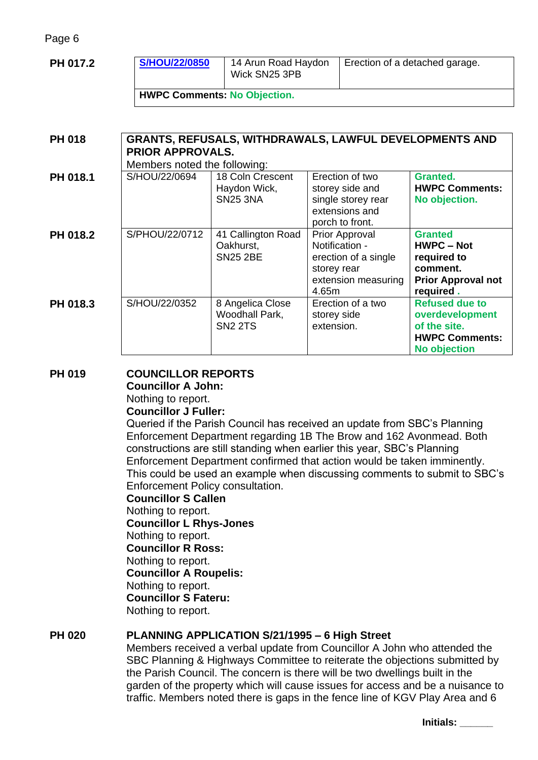Page 6

| PH 017.2                                                                                                  | <b>S/HOU/22/0850</b>         | 14 Arun Road Haydon<br>Wick SN25 3PB                 |                                                                                                         | Erection of a detached garage.                                                                           |  |  |
|-----------------------------------------------------------------------------------------------------------|------------------------------|------------------------------------------------------|---------------------------------------------------------------------------------------------------------|----------------------------------------------------------------------------------------------------------|--|--|
| <b>HWPC Comments: No Objection.</b>                                                                       |                              |                                                      |                                                                                                         |                                                                                                          |  |  |
|                                                                                                           |                              |                                                      |                                                                                                         |                                                                                                          |  |  |
| <b>GRANTS, REFUSALS, WITHDRAWALS, LAWFUL DEVELOPMENTS AND</b><br><b>PH 018</b><br><b>PRIOR APPROVALS.</b> |                              |                                                      |                                                                                                         |                                                                                                          |  |  |
|                                                                                                           | Members noted the following: |                                                      |                                                                                                         |                                                                                                          |  |  |
| PH 018.1                                                                                                  | S/HOU/22/0694                | 18 Coln Crescent<br>Haydon Wick,<br><b>SN25 3NA</b>  | Erection of two<br>storey side and<br>single storey rear<br>extensions and<br>porch to front.           | Granted.<br><b>HWPC Comments:</b><br>No objection.                                                       |  |  |
| PH 018.2                                                                                                  | S/PHOU/22/0712               | 41 Callington Road<br>Oakhurst,<br><b>SN25 2BE</b>   | Prior Approval<br>Notification -<br>erection of a single<br>storey rear<br>extension measuring<br>4.65m | <b>Granted</b><br><b>HWPC - Not</b><br>required to<br>comment.<br><b>Prior Approval not</b><br>required. |  |  |
| PH 018.3                                                                                                  | S/HOU/22/0352                | 8 Angelica Close<br>Woodhall Park,<br><b>SN2 2TS</b> | Erection of a two<br>storey side<br>extension.                                                          | <b>Refused due to</b><br>overdevelopment<br>of the site.<br><b>HWPC Comments:</b><br>No objection        |  |  |

# **PH 019 COUNCILLOR REPORTS**

**Councillor A John:**

Nothing to report. **Councillor J Fuller:** 

Queried if the Parish Council has received an update from SBC's Planning Enforcement Department regarding 1B The Brow and 162 Avonmead. Both constructions are still standing when earlier this year, SBC's Planning Enforcement Department confirmed that action would be taken imminently. This could be used an example when discussing comments to submit to SBC's Enforcement Policy consultation.

**Councillor S Callen** Nothing to report. **Councillor L Rhys-Jones** Nothing to report. **Councillor R Ross:**  Nothing to report. **Councillor A Roupelis:** Nothing to report. **Councillor S Fateru:** Nothing to report.

# **PH 020 PLANNING APPLICATION S/21/1995 – 6 High Street**

Members received a verbal update from Councillor A John who attended the SBC Planning & Highways Committee to reiterate the objections submitted by the Parish Council. The concern is there will be two dwellings built in the garden of the property which will cause issues for access and be a nuisance to traffic. Members noted there is gaps in the fence line of KGV Play Area and 6

**Initials: \_\_\_\_\_\_**